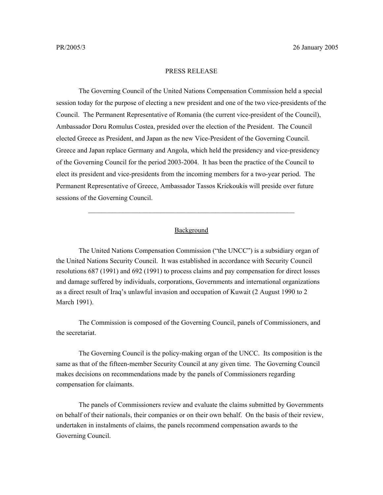## PRESS RELEASE

 The Governing Council of the United Nations Compensation Commission held a special session today for the purpose of electing a new president and one of the two vice-presidents of the Council. The Permanent Representative of Romania (the current vice-president of the Council), Ambassador Doru Romulus Costea, presided over the election of the President. The Council elected Greece as President, and Japan as the new Vice-President of the Governing Council. Greece and Japan replace Germany and Angola, which held the presidency and vice-presidency of the Governing Council for the period 2003-2004. It has been the practice of the Council to elect its president and vice-presidents from the incoming members for a two-year period. The Permanent Representative of Greece, Ambassador Tassos Kriekoukis will preside over future sessions of the Governing Council.

## **Background**

 $\mathcal{L}_\text{max}$  and the contract of the contract of the contract of the contract of the contract of the contract of

The United Nations Compensation Commission ("the UNCC") is a subsidiary organ of the United Nations Security Council. It was established in accordance with Security Council resolutions 687 (1991) and 692 (1991) to process claims and pay compensation for direct losses and damage suffered by individuals, corporations, Governments and international organizations as a direct result of Iraq's unlawful invasion and occupation of Kuwait (2 August 1990 to 2 March 1991).

The Commission is composed of the Governing Council, panels of Commissioners, and the secretariat.

The Governing Council is the policy-making organ of the UNCC. Its composition is the same as that of the fifteen-member Security Council at any given time. The Governing Council makes decisions on recommendations made by the panels of Commissioners regarding compensation for claimants.

The panels of Commissioners review and evaluate the claims submitted by Governments on behalf of their nationals, their companies or on their own behalf. On the basis of their review, undertaken in instalments of claims, the panels recommend compensation awards to the Governing Council.